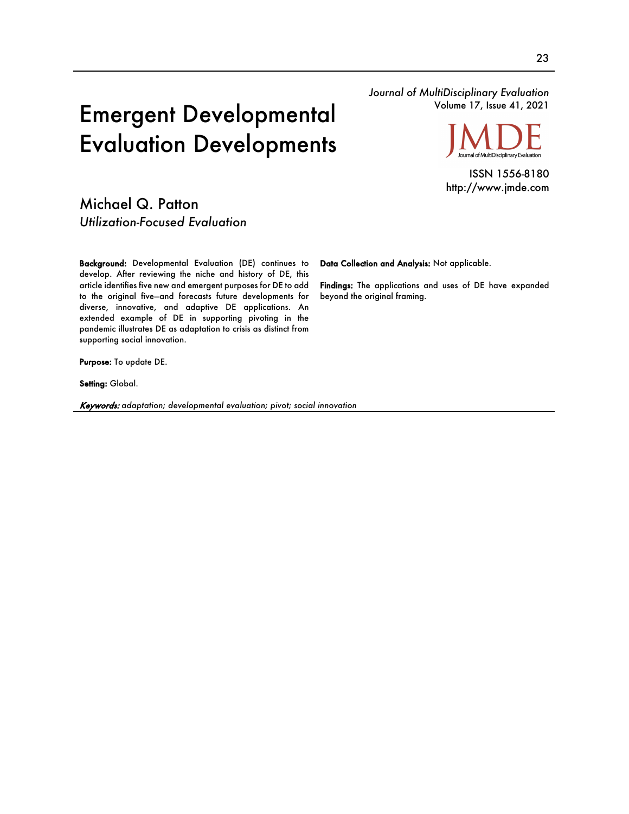*Journal of MultiDisciplinary Evaluation* Volume 17, Issue 41, 2021

# Emergent Developmental Evaluation Developments



ISSN 1556-8180 http://www.jmde.com

Michael Q. Patton *Utilization-Focused Evaluation*

Background: Developmental Evaluation (DE) continues to develop. After reviewing the niche and history of DE, this article identifies five new and emergent purposes for DE to add to the original five—and forecasts future developments for diverse, innovative, and adaptive DE applications. An extended example of DE in supporting pivoting in the pandemic illustrates DE as adaptation to crisis as distinct from supporting social innovation.

Purpose: To update DE.

Setting: Global.

Keywords: *adaptation; developmental evaluation; pivot; social innovation*

Data Collection and Analysis: Not applicable.

Findings: The applications and uses of DE have expanded beyond the original framing.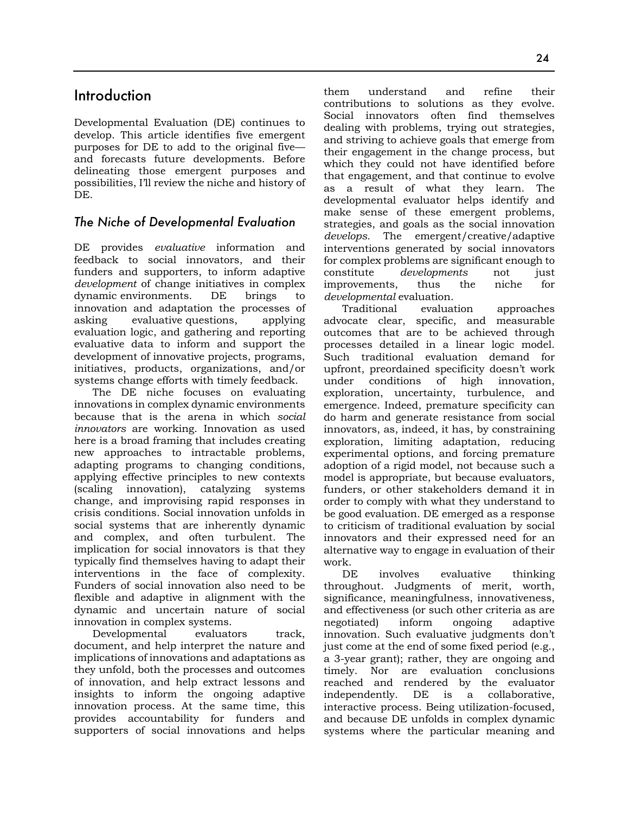## Introduction

Developmental Evaluation (DE) continues to develop. This article identifies five emergent purposes for DE to add to the original five and forecasts future developments. Before delineating those emergent purposes and possibilities, I'll review the niche and history of DE.

### *The Niche of Developmental Evaluation*

DE provides *evaluative* information and feedback to social innovators, and their funders and supporters, to inform adaptive *development* of change initiatives in complex dynamic environments. DE brings to innovation and adaptation the processes of asking evaluative questions, applying evaluation logic, and gathering and reporting evaluative data to inform and support the development of innovative projects, programs, initiatives, products, organizations, and/or systems change efforts with timely feedback.

The DE niche focuses on evaluating innovations in complex dynamic environments because that is the arena in which *social innovators* are working. Innovation as used here is a broad framing that includes creating new approaches to intractable problems, adapting programs to changing conditions, applying effective principles to new contexts (scaling innovation), catalyzing systems change, and improvising rapid responses in crisis conditions. Social innovation unfolds in social systems that are inherently dynamic and complex, and often turbulent. The implication for social innovators is that they typically find themselves having to adapt their interventions in the face of complexity. Funders of social innovation also need to be flexible and adaptive in alignment with the dynamic and uncertain nature of social innovation in complex systems.

Developmental evaluators track, document, and help interpret the nature and implications of innovations and adaptations as they unfold, both the processes and outcomes of innovation, and help extract lessons and insights to inform the ongoing adaptive innovation process. At the same time, this provides accountability for funders and supporters of social innovations and helps

them understand and refine their contributions to solutions as they evolve. Social innovators often find themselves dealing with problems, trying out strategies, and striving to achieve goals that emerge from their engagement in the change process, but which they could not have identified before that engagement, and that continue to evolve as a result of what they learn. The developmental evaluator helps identify and make sense of these emergent problems, strategies, and goals as the social innovation *develops.* The emergent/creative/adaptive interventions generated by social innovators for complex problems are significant enough to constitute *developments* not just improvements, thus the niche for *developmental* evaluation.

Traditional evaluation approaches advocate clear, specific, and measurable outcomes that are to be achieved through processes detailed in a linear logic model. Such traditional evaluation demand for upfront, preordained specificity doesn't work under conditions of high innovation, exploration, uncertainty, turbulence, and emergence. Indeed, premature specificity can do harm and generate resistance from social innovators, as, indeed, it has, by constraining exploration, limiting adaptation, reducing experimental options, and forcing premature adoption of a rigid model, not because such a model is appropriate, but because evaluators, funders, or other stakeholders demand it in order to comply with what they understand to be good evaluation. DE emerged as a response to criticism of traditional evaluation by social innovators and their expressed need for an alternative way to engage in evaluation of their work.

DE involves evaluative thinking throughout. Judgments of merit, worth, significance, meaningfulness, innovativeness, and effectiveness (or such other criteria as are negotiated) inform ongoing adaptive innovation. Such evaluative judgments don't just come at the end of some fixed period (e.g., a 3-year grant); rather, they are ongoing and timely. Nor are evaluation conclusions reached and rendered by the evaluator independently. DE is a collaborative, interactive process. Being utilization-focused, and because DE unfolds in complex dynamic systems where the particular meaning and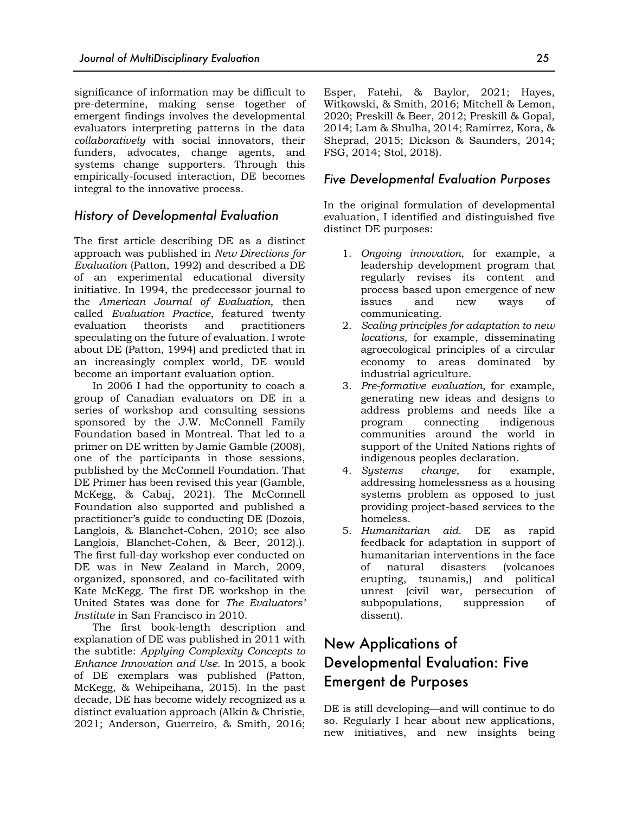significance of information may be difficult to pre-determine, making sense together of emergent findings involves the developmental evaluators interpreting patterns in the data *collaboratively* with social innovators, their funders, advocates, change agents, and systems change supporters. Through this empirically-focused interaction, DE becomes integral to the innovative process.

#### *History of Developmental Evaluation*

The first article describing DE as a distinct approach was published in *New Directions for Evaluation* (Patton, 1992) and described a DE of an experimental educational diversity initiative. In 1994, the predecessor journal to the *American Journal of Evaluation*, then called *Evaluation Practice*, featured twenty evaluation theorists and practitioners speculating on the future of evaluation. I wrote about DE (Patton, 1994) and predicted that in an increasingly complex world, DE would become an important evaluation option.

In 2006 I had the opportunity to coach a group of Canadian evaluators on DE in a series of workshop and consulting sessions sponsored by the J.W. McConnell Family Foundation based in Montreal. That led to a primer on DE written by Jamie Gamble (2008), one of the participants in those sessions, published by the McConnell Foundation. That DE Primer has been revised this year (Gamble, McKegg, & Cabaj, 2021). The McConnell Foundation also supported and published a practitioner's guide to conducting DE (Dozois, Langlois, & Blanchet-Cohen, 2010; see also Langlois, Blanchet-Cohen, & Beer, 2012).). The first full-day workshop ever conducted on DE was in New Zealand in March, 2009, organized, sponsored, and co-facilitated with Kate McKegg. The first DE workshop in the United States was done for *The Evaluators' Institute* in San Francisco in 2010.

The first book-length description and explanation of DE was published in 2011 with the subtitle: *Applying Complexity Concepts to Enhance Innovation and Use.* In 2015, a book of DE exemplars was published (Patton, McKegg, & Wehipeihana, 2015). In the past decade, DE has become widely recognized as a distinct evaluation approach (Alkin & Christie, 2021; Anderson, Guerreiro, & Smith, 2016;

Esper, Fatehi, & Baylor, 2021; Hayes, Witkowski, & Smith, 2016; Mitchell & Lemon, 2020; Preskill & Beer, 2012; Preskill & Gopal, 2014; Lam & Shulha, 2014; Ramirrez, Kora, & Sheprad, 2015; Dickson & Saunders, 2014; FSG, 2014; Stol, 2018).

#### *Five Developmental Evaluation Purposes*

In the original formulation of developmental evaluation, I identified and distinguished five distinct DE purposes:

- 1. *Ongoing innovation*, for example, a leadership development program that regularly revises its content and process based upon emergence of new issues and new ways of communicating.
- 2. *Scaling principles for adaptation to new locations,* for example, disseminating agroecological principles of a circular economy to areas dominated by industrial agriculture.
- 3. *Pre-formative evaluation*, for example, generating new ideas and designs to address problems and needs like a program connecting indigenous communities around the world in support of the United Nations rights of indigenous peoples declaration.
- 4. *Systems change*, for example, addressing homelessness as a housing systems problem as opposed to just providing project-based services to the homeless.
- 5. *Humanitarian aid*. DE as rapid feedback for adaptation in support of humanitarian interventions in the face of natural disasters (volcanoes erupting, tsunamis,) and political unrest (civil war, persecution of subpopulations, suppression of dissent).

# New Applications of Developmental Evaluation: Five Emergent de Purposes

DE is still developing—and will continue to do so. Regularly I hear about new applications, new initiatives, and new insights being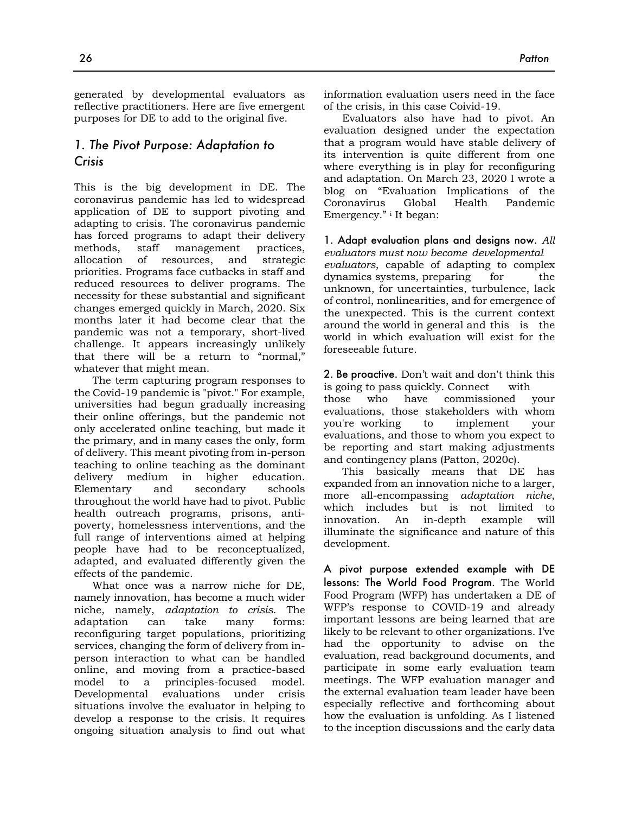generated by developmental evaluators as reflective practitioners. Here are five emergent purposes for DE to add to the original five.

#### *1. The Pivot Purpose: Adaptation to Crisis*

This is the big development in DE. The coronavirus pandemic has led to widespread application of DE to support pivoting and adapting to crisis. The coronavirus pandemic has forced programs to adapt their delivery methods, staff management practices, allocation of resources, and strategic priorities. Programs face cutbacks in staff and reduced resources to deliver programs. The necessity for these substantial and significant changes emerged quickly in March, 2020. Six months later it had become clear that the pandemic was not a temporary, short-lived challenge. It appears increasingly unlikely that there will be a return to "normal," whatever that might mean.

The term capturing program responses to the Covid-19 pandemic is "pivot." For example, universities had begun gradually increasing their online offerings, but the pandemic not only accelerated online teaching, but made it the primary, and in many cases the only, form of delivery. This meant pivoting from in-person teaching to online teaching as the dominant delivery medium in higher education. Elementary and secondary schools throughout the world have had to pivot. Public health outreach programs, prisons, antipoverty, homelessness interventions, and the full range of interventions aimed at helping people have had to be reconceptualized, adapted, and evaluated differently given the effects of the pandemic.

What once was a narrow niche for DE, namely innovation, has become a much wider niche, namely, *adaptation to crisis*. The adaptation can take many forms: reconfiguring target populations, prioritizing services, changing the form of delivery from inperson interaction to what can be handled online, and moving from a practice-based model to a principles-focused model. Developmental evaluations under crisis situations involve the evaluator in helping to develop a response to the crisis. It requires ongoing situation analysis to find out what

information evaluation users need in the face of the crisis, in this case Coivid-19.

Evaluators also have had to pivot. An evaluation designed under the expectation that a program would have stable delivery of its intervention is quite different from one where everything is in play for reconfiguring and adaptation. On March 23, 2020 I wrote a blog on "Evaluation Implications of the Coronavirus Global Health Pandemic Emergency." i It began:

1. Adapt evaluation plans and designs now. *All evaluators must now become developmental evaluators*, capable of adapting to complex dynamics systems, preparing for the unknown, for uncertainties, turbulence, lack of control, nonlinearities, and for emergence of the unexpected. This is the current context around the world in general and this is the world in which evaluation will exist for the foreseeable future.

2. Be proactive. Don't wait and don't think this is going to pass quickly. Connect with those who have commissioned your evaluations, those stakeholders with whom you're working to implement your evaluations, and those to whom you expect to be reporting and start making adjustments and contingency plans (Patton, 2020c).

This basically means that DE has expanded from an innovation niche to a larger, more all-encompassing *adaptation niche*, which includes but is not limited to innovation. An in-depth example will illuminate the significance and nature of this development.

A pivot purpose extended example with DE lessons: The World Food Program. The World Food Program (WFP) has undertaken a DE of WFP's response to COVID-19 and already important lessons are being learned that are likely to be relevant to other organizations. I've had the opportunity to advise on the evaluation, read background documents, and participate in some early evaluation team meetings. The WFP evaluation manager and the external evaluation team leader have been especially reflective and forthcoming about how the evaluation is unfolding. As I listened to the inception discussions and the early data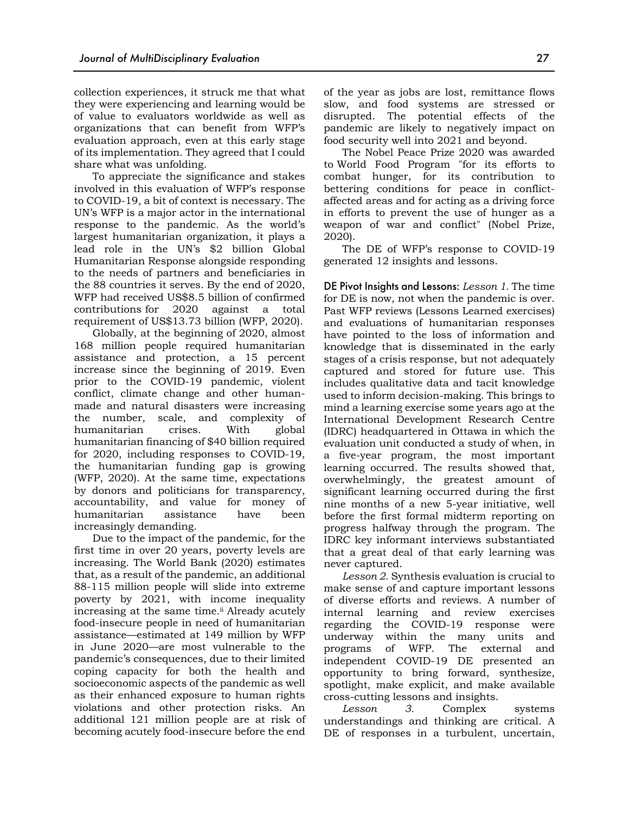collection experiences, it struck me that what they were experiencing and learning would be of value to evaluators worldwide as well as organizations that can benefit from WFP's evaluation approach, even at this early stage of its implementation. They agreed that I could share what was unfolding.

To appreciate the significance and stakes involved in this evaluation of WFP's response to COVID-19, a bit of context is necessary. The UN's WFP is a major actor in the international response to the pandemic. As the world's largest humanitarian organization, it plays a lead role in the UN's \$2 billion Global Humanitarian Response alongside responding to the needs of partners and beneficiaries in the 88 countries it serves. By the end of 2020, WFP had received US\$8.5 billion of confirmed contributions for 2020 against a total requirement of US\$13.73 billion (WFP, 2020).

Globally, at the beginning of 2020, almost 168 million people required humanitarian assistance and protection, a 15 percent increase since the beginning of 2019. Even prior to the COVID-19 pandemic, violent conflict, climate change and other humanmade and natural disasters were increasing the number, scale, and complexity of humanitarian crises. With global humanitarian financing of \$40 billion required for 2020, including responses to COVID-19, the humanitarian funding gap is growing (WFP, 2020). At the same time, expectations by donors and politicians for transparency, accountability, and value for money of humanitarian assistance have been increasingly demanding.

Due to the impact of the pandemic, for the first time in over 20 years, poverty levels are increasing. The World Bank (2020) estimates that, as a result of the pandemic, an additional 88-115 million people will slide into extreme poverty by 2021, with income inequality increasing at the same time.<sup>ii</sup> Already acutely food-insecure people in need of humanitarian assistance—estimated at 149 million by WFP in June 2020—are most vulnerable to the pandemic's consequences, due to their limited coping capacity for both the health and socioeconomic aspects of the pandemic as well as their enhanced exposure to human rights violations and other protection risks. An additional 121 million people are at risk of becoming acutely food-insecure before the end

of the year as jobs are lost, remittance flows slow, and food systems are stressed or disrupted. The potential effects of the pandemic are likely to negatively impact on food security well into 2021 and beyond.

The Nobel Peace Prize 2020 was awarded to World Food Program "for its efforts to combat hunger, for its contribution to bettering conditions for peace in conflictaffected areas and for acting as a driving force in efforts to prevent the use of hunger as a weapon of war and conflict" (Nobel Prize, 2020).

The DE of WFP's response to COVID-19 generated 12 insights and lessons.

DE Pivot Insights and Lessons: *Lesson 1.* The time for DE is now, not when the pandemic is over. Past WFP reviews (Lessons Learned exercises) and evaluations of humanitarian responses have pointed to the loss of information and knowledge that is disseminated in the early stages of a crisis response, but not adequately captured and stored for future use. This includes qualitative data and tacit knowledge used to inform decision-making. This brings to mind a learning exercise some years ago at the International Development Research Centre (IDRC) headquartered in Ottawa in which the evaluation unit conducted a study of when, in a five-year program, the most important learning occurred. The results showed that, overwhelmingly, the greatest amount of significant learning occurred during the first nine months of a new 5-year initiative, well before the first formal midterm reporting on progress halfway through the program. The IDRC key informant interviews substantiated that a great deal of that early learning was never captured.

*Lesson 2.* Synthesis evaluation is crucial to make sense of and capture important lessons of diverse efforts and reviews. A number of internal learning and review exercises regarding the COVID-19 response were underway within the many units and programs of WFP. The external and independent COVID-19 DE presented an opportunity to bring forward, synthesize, spotlight, make explicit, and make available cross-cutting lessons and insights.

*Lesson 3.* Complex systems understandings and thinking are critical. A DE of responses in a turbulent, uncertain,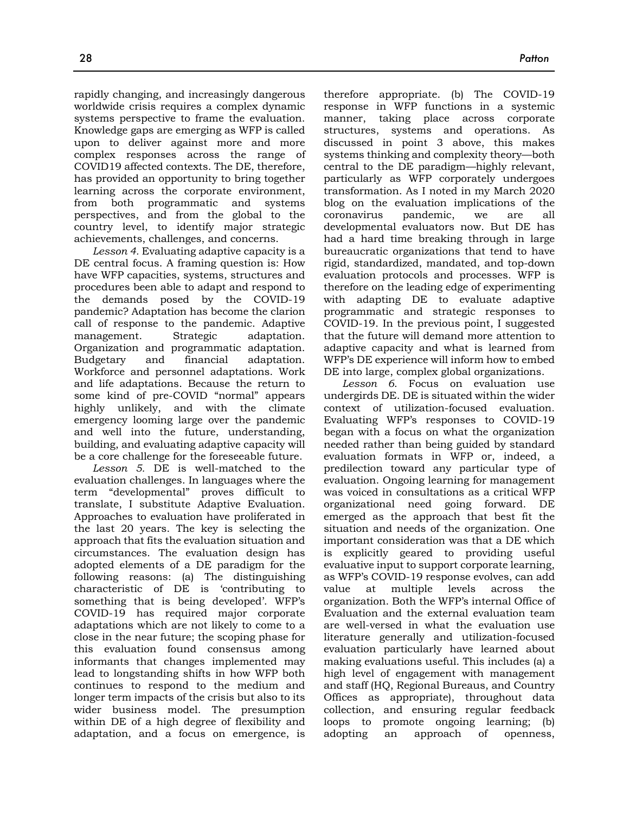rapidly changing, and increasingly dangerous worldwide crisis requires a complex dynamic systems perspective to frame the evaluation. Knowledge gaps are emerging as WFP is called upon to deliver against more and more complex responses across the range of COVID19 affected contexts. The DE, therefore, has provided an opportunity to bring together learning across the corporate environment, from both programmatic and systems perspectives, and from the global to the country level, to identify major strategic achievements, challenges, and concerns.

*Lesson 4.* Evaluating adaptive capacity is a DE central focus. A framing question is: How have WFP capacities, systems, structures and procedures been able to adapt and respond to the demands posed by the COVID-19 pandemic? Adaptation has become the clarion call of response to the pandemic. Adaptive management. Strategic adaptation. Organization and programmatic adaptation. Budgetary and financial adaptation. Workforce and personnel adaptations. Work and life adaptations. Because the return to some kind of pre-COVID "normal" appears highly unlikely, and with the climate emergency looming large over the pandemic and well into the future, understanding, building, and evaluating adaptive capacity will be a core challenge for the foreseeable future.

*Lesson 5.* DE is well-matched to the evaluation challenges. In languages where the term "developmental" proves difficult to translate, I substitute Adaptive Evaluation. Approaches to evaluation have proliferated in the last 20 years. The key is selecting the approach that fits the evaluation situation and circumstances. The evaluation design has adopted elements of a DE paradigm for the following reasons: (a) The distinguishing characteristic of DE is 'contributing to something that is being developed'. WFP's COVID-19 has required major corporate adaptations which are not likely to come to a close in the near future; the scoping phase for this evaluation found consensus among informants that changes implemented may lead to longstanding shifts in how WFP both continues to respond to the medium and longer term impacts of the crisis but also to its wider business model. The presumption within DE of a high degree of flexibility and adaptation, and a focus on emergence, is

therefore appropriate. (b) The COVID-19 response in WFP functions in a systemic manner, taking place across corporate structures, systems and operations. As discussed in point 3 above, this makes systems thinking and complexity theory—both central to the DE paradigm—highly relevant, particularly as WFP corporately undergoes transformation. As I noted in my March 2020 blog on the evaluation implications of the coronavirus pandemic, we are all developmental evaluators now. But DE has had a hard time breaking through in large bureaucratic organizations that tend to have rigid, standardized, mandated, and top-down evaluation protocols and processes. WFP is therefore on the leading edge of experimenting with adapting DE to evaluate adaptive programmatic and strategic responses to COVID-19. In the previous point, I suggested that the future will demand more attention to adaptive capacity and what is learned from WFP's DE experience will inform how to embed DE into large, complex global organizations.

*Lesson 6*. Focus on evaluation use undergirds DE. DE is situated within the wider context of utilization-focused evaluation. Evaluating WFP's responses to COVID-19 began with a focus on what the organization needed rather than being guided by standard evaluation formats in WFP or, indeed, a predilection toward any particular type of evaluation. Ongoing learning for management was voiced in consultations as a critical WFP organizational need going forward. DE emerged as the approach that best fit the situation and needs of the organization. One important consideration was that a DE which is explicitly geared to providing useful evaluative input to support corporate learning, as WFP's COVID-19 response evolves, can add value at multiple levels across the organization. Both the WFP's internal Office of Evaluation and the external evaluation team are well-versed in what the evaluation use literature generally and utilization-focused evaluation particularly have learned about making evaluations useful. This includes (a) a high level of engagement with management and staff (HQ, Regional Bureaus, and Country Offices as appropriate), throughout data collection, and ensuring regular feedback loops to promote ongoing learning; (b) adopting an approach of openness,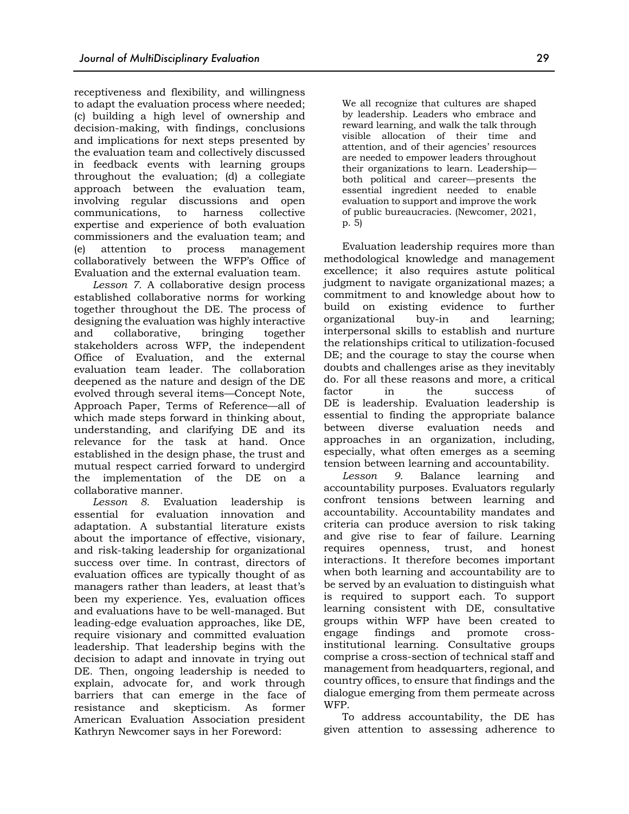receptiveness and flexibility, and willingness to adapt the evaluation process where needed; (c) building a high level of ownership and decision-making, with findings, conclusions and implications for next steps presented by the evaluation team and collectively discussed in feedback events with learning groups throughout the evaluation; (d) a collegiate approach between the evaluation team, involving regular discussions and open communications, to harness collective expertise and experience of both evaluation commissioners and the evaluation team; and (e) attention to process management collaboratively between the WFP's Office of Evaluation and the external evaluation team.

*Lesson 7.* A collaborative design process established collaborative norms for working together throughout the DE. The process of designing the evaluation was highly interactive and collaborative, bringing together stakeholders across WFP, the independent Office of Evaluation, and the external evaluation team leader. The collaboration deepened as the nature and design of the DE evolved through several items—Concept Note, Approach Paper, Terms of Reference—all of which made steps forward in thinking about, understanding, and clarifying DE and its relevance for the task at hand. Once established in the design phase, the trust and mutual respect carried forward to undergird the implementation of the DE on a collaborative manner.

*Lesson 8.* Evaluation leadership is essential for evaluation innovation and adaptation. A substantial literature exists about the importance of effective, visionary, and risk-taking leadership for organizational success over time. In contrast, directors of evaluation offices are typically thought of as managers rather than leaders, at least that's been my experience. Yes, evaluation offices and evaluations have to be well-managed. But leading-edge evaluation approaches, like DE, require visionary and committed evaluation leadership. That leadership begins with the decision to adapt and innovate in trying out DE. Then, ongoing leadership is needed to explain, advocate for, and work through barriers that can emerge in the face of resistance and skepticism. As former American Evaluation Association president Kathryn Newcomer says in her Foreword:

We all recognize that cultures are shaped by leadership. Leaders who embrace and reward learning, and walk the talk through visible allocation of their time and attention, and of their agencies' resources are needed to empower leaders throughout their organizations to learn. Leadership both political and career—presents the essential ingredient needed to enable evaluation to support and improve the work of public bureaucracies. (Newcomer, 2021, p. 5)

Evaluation leadership requires more than methodological knowledge and management excellence; it also requires astute political judgment to navigate organizational mazes; a commitment to and knowledge about how to build on existing evidence to further organizational buy-in and learning; interpersonal skills to establish and nurture the relationships critical to utilization-focused DE; and the courage to stay the course when doubts and challenges arise as they inevitably do. For all these reasons and more, a critical factor in the success of DE is leadership. Evaluation leadership is essential to finding the appropriate balance between diverse evaluation needs and approaches in an organization, including, especially, what often emerges as a seeming tension between learning and accountability.

*Lesson 9.* Balance learning and accountability purposes. Evaluators regularly confront tensions between learning and accountability. Accountability mandates and criteria can produce aversion to risk taking and give rise to fear of failure. Learning requires openness, trust, and honest interactions. It therefore becomes important when both learning and accountability are to be served by an evaluation to distinguish what is required to support each. To support learning consistent with DE, consultative groups within WFP have been created to engage findings and promote crossinstitutional learning. Consultative groups comprise a cross-section of technical staff and management from headquarters, regional, and country offices, to ensure that findings and the dialogue emerging from them permeate across WFP.

To address accountability, the DE has given attention to assessing adherence to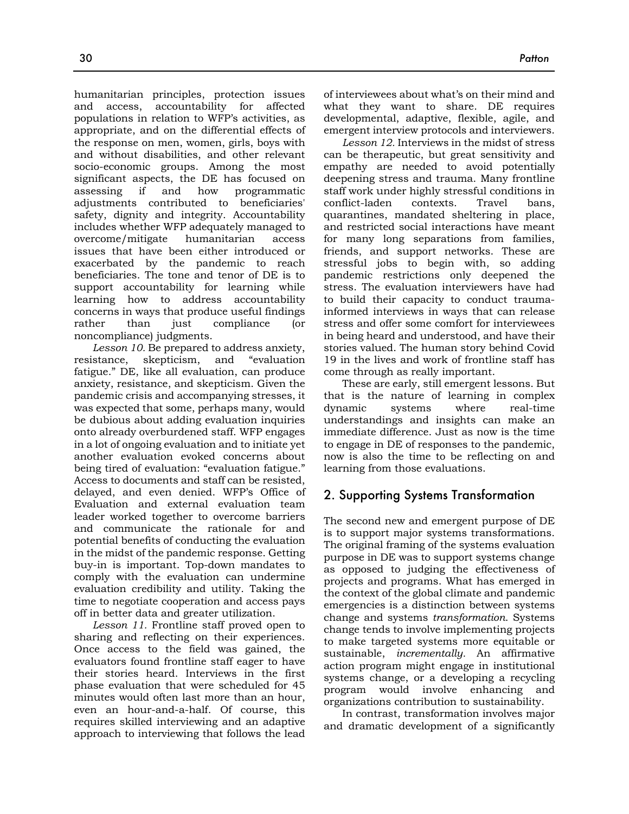humanitarian principles, protection issues and access, accountability for affected populations in relation to WFP's activities, as appropriate, and on the differential effects of the response on men, women, girls, boys with and without disabilities, and other relevant socio-economic groups. Among the most significant aspects, the DE has focused on assessing if and how programmatic adjustments contributed to beneficiaries' safety, dignity and integrity. Accountability includes whether WFP adequately managed to overcome/mitigate humanitarian access issues that have been either introduced or exacerbated by the pandemic to reach beneficiaries. The tone and tenor of DE is to support accountability for learning while learning how to address accountability concerns in ways that produce useful findings rather than just compliance (or noncompliance) judgments.

*Lesson 10.* Be prepared to address anxiety, resistance, skepticism, and "evaluation fatigue." DE, like all evaluation, can produce anxiety, resistance, and skepticism. Given the pandemic crisis and accompanying stresses, it was expected that some, perhaps many, would be dubious about adding evaluation inquiries onto already overburdened staff. WFP engages in a lot of ongoing evaluation and to initiate yet another evaluation evoked concerns about being tired of evaluation: "evaluation fatigue." Access to documents and staff can be resisted, delayed, and even denied. WFP's Office of Evaluation and external evaluation team leader worked together to overcome barriers and communicate the rationale for and potential benefits of conducting the evaluation in the midst of the pandemic response. Getting buy-in is important. Top-down mandates to comply with the evaluation can undermine evaluation credibility and utility. Taking the time to negotiate cooperation and access pays off in better data and greater utilization.

*Lesson 11.* Frontline staff proved open to sharing and reflecting on their experiences. Once access to the field was gained, the evaluators found frontline staff eager to have their stories heard. Interviews in the first phase evaluation that were scheduled for 45 minutes would often last more than an hour, even an hour-and-a-half. Of course, this requires skilled interviewing and an adaptive approach to interviewing that follows the lead

of interviewees about what's on their mind and what they want to share. DE requires developmental, adaptive, flexible, agile, and emergent interview protocols and interviewers.

*Lesson 12.* Interviews in the midst of stress can be therapeutic, but great sensitivity and empathy are needed to avoid potentially deepening stress and trauma. Many frontline staff work under highly stressful conditions in conflict-laden contexts. Travel bans, quarantines, mandated sheltering in place, and restricted social interactions have meant for many long separations from families, friends, and support networks. These are stressful jobs to begin with, so adding pandemic restrictions only deepened the stress. The evaluation interviewers have had to build their capacity to conduct traumainformed interviews in ways that can release stress and offer some comfort for interviewees in being heard and understood, and have their stories valued. The human story behind Covid 19 in the lives and work of frontline staff has come through as really important.

These are early, still emergent lessons. But that is the nature of learning in complex dynamic systems where real-time understandings and insights can make an immediate difference. Just as now is the time to engage in DE of responses to the pandemic, now is also the time to be reflecting on and learning from those evaluations.

#### 2. Supporting Systems Transformation

The second new and emergent purpose of DE is to support major systems transformations. The original framing of the systems evaluation purpose in DE was to support systems change as opposed to judging the effectiveness of projects and programs. What has emerged in the context of the global climate and pandemic emergencies is a distinction between systems change and systems *transformation*. Systems change tends to involve implementing projects to make targeted systems more equitable or sustainable, *incrementally.* An affirmative action program might engage in institutional systems change, or a developing a recycling program would involve enhancing and organizations contribution to sustainability.

In contrast, transformation involves major and dramatic development of a significantly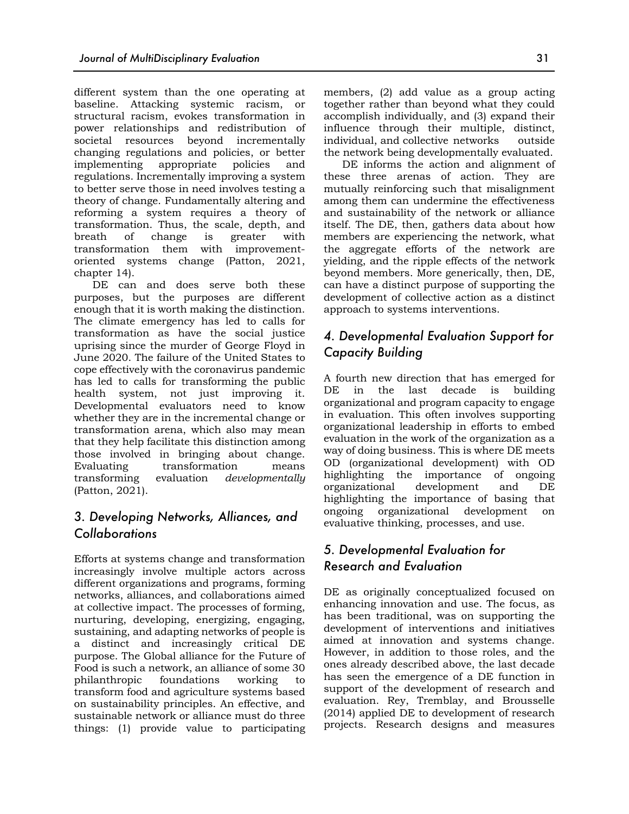different system than the one operating at baseline. Attacking systemic racism, or structural racism, evokes transformation in power relationships and redistribution of societal resources beyond incrementally changing regulations and policies, or better implementing appropriate policies and regulations. Incrementally improving a system to better serve those in need involves testing a theory of change. Fundamentally altering and reforming a system requires a theory of transformation. Thus, the scale, depth, and breath of change is greater with transformation them with improvementoriented systems change (Patton, 2021, chapter 14).

DE can and does serve both these purposes, but the purposes are different enough that it is worth making the distinction. The climate emergency has led to calls for transformation as have the social justice uprising since the murder of George Floyd in June 2020. The failure of the United States to cope effectively with the coronavirus pandemic has led to calls for transforming the public health system, not just improving it. Developmental evaluators need to know whether they are in the incremental change or transformation arena, which also may mean that they help facilitate this distinction among those involved in bringing about change. Evaluating transformation means transforming evaluation *developmentally* (Patton, 2021).

#### *3. Developing Networks, Alliances, and Collaborations*

Efforts at systems change and transformation increasingly involve multiple actors across different organizations and programs, forming networks, alliances, and collaborations aimed at collective impact. The processes of forming, nurturing, developing, energizing, engaging, sustaining, and adapting networks of people is a distinct and increasingly critical DE purpose. The Global alliance for the Future of Food is such a network, an alliance of some 30 philanthropic foundations working to transform food and agriculture systems based on sustainability principles. An effective, and sustainable network or alliance must do three things: (1) provide value to participating members, (2) add value as a group acting together rather than beyond what they could accomplish individually, and (3) expand their influence through their multiple, distinct, individual, and collective networks outside the network being developmentally evaluated.

DE informs the action and alignment of these three arenas of action. They are mutually reinforcing such that misalignment among them can undermine the effectiveness and sustainability of the network or alliance itself. The DE, then, gathers data about how members are experiencing the network, what the aggregate efforts of the network are yielding, and the ripple effects of the network beyond members. More generically, then, DE, can have a distinct purpose of supporting the development of collective action as a distinct approach to systems interventions.

#### *4. Developmental Evaluation Support for Capacity Building*

A fourth new direction that has emerged for DE in the last decade is building organizational and program capacity to engage in evaluation. This often involves supporting organizational leadership in efforts to embed evaluation in the work of the organization as a way of doing business. This is where DE meets OD (organizational development) with OD highlighting the importance of ongoing organizational development and DE highlighting the importance of basing that ongoing organizational development on evaluative thinking, processes, and use.

### *5. Developmental Evaluation for Research and Evaluation*

DE as originally conceptualized focused on enhancing innovation and use. The focus, as has been traditional, was on supporting the development of interventions and initiatives aimed at innovation and systems change. However, in addition to those roles, and the ones already described above, the last decade has seen the emergence of a DE function in support of the development of research and evaluation. Rey, Tremblay, and Brousselle (2014) applied DE to development of research projects. Research designs and measures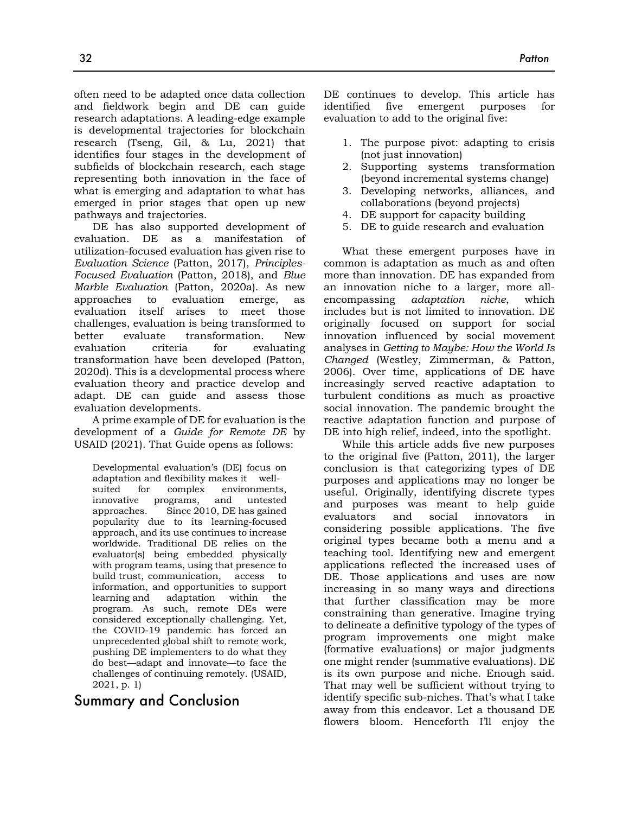often need to be adapted once data collection and fieldwork begin and DE can guide research adaptations. A leading-edge example is developmental trajectories for blockchain research (Tseng, Gil, & Lu, 2021) that identifies four stages in the development of subfields of blockchain research, each stage representing both innovation in the face of what is emerging and adaptation to what has emerged in prior stages that open up new pathways and trajectories.

DE has also supported development of evaluation. DE as a manifestation of utilization-focused evaluation has given rise to *Evaluation Science* (Patton, 2017), *Principles-Focused Evaluation* (Patton, 2018), and *Blue Marble Evaluation* (Patton, 2020a). As new approaches to evaluation emerge, as evaluation itself arises to meet those challenges, evaluation is being transformed to better evaluate transformation. New evaluation criteria for evaluating transformation have been developed (Patton, 2020d). This is a developmental process where evaluation theory and practice develop and adapt. DE can guide and assess those evaluation developments.

A prime example of DE for evaluation is the development of a *Guide for Remote DE* by USAID (2021). That Guide opens as follows:

Developmental evaluation's (DE) focus on adaptation and flexibility makes it wellsuited for complex environments, innovative programs, and untested approaches. Since 2010, DE has gained popularity due to its learning-focused approach, and its use continues to increase worldwide. Traditional DE relies on the evaluator(s) being embedded physically with program teams, using that presence to build trust, communication, access to information, and opportunities to support learning and adaptation within the program. As such, remote DEs were considered exceptionally challenging. Yet, the COVID-19 pandemic has forced an unprecedented global shift to remote work, pushing DE implementers to do what they do best—adapt and innovate—to face the challenges of continuing remotely. (USAID, 2021, p. 1)

Summary and Conclusion

DE continues to develop. This article has identified five emergent purposes for evaluation to add to the original five:

- 1. The purpose pivot: adapting to crisis (not just innovation)
- 2. Supporting systems transformation (beyond incremental systems change)
- 3. Developing networks, alliances, and collaborations (beyond projects)
- 4. DE support for capacity building
- 5. DE to guide research and evaluation

What these emergent purposes have in common is adaptation as much as and often more than innovation. DE has expanded from an innovation niche to a larger, more allencompassing *adaptation niche*, which includes but is not limited to innovation. DE originally focused on support for social innovation influenced by social movement analyses in *Getting to Maybe: How the World Is Changed* (Westley, Zimmerman, & Patton, 2006). Over time, applications of DE have increasingly served reactive adaptation to turbulent conditions as much as proactive social innovation. The pandemic brought the reactive adaptation function and purpose of DE into high relief, indeed, into the spotlight.

While this article adds five new purposes to the original five (Patton, 2011), the larger conclusion is that categorizing types of DE purposes and applications may no longer be useful. Originally, identifying discrete types and purposes was meant to help guide evaluators and social innovators in considering possible applications. The five original types became both a menu and a teaching tool. Identifying new and emergent applications reflected the increased uses of DE. Those applications and uses are now increasing in so many ways and directions that further classification may be more constraining than generative. Imagine trying to delineate a definitive typology of the types of program improvements one might make (formative evaluations) or major judgments one might render (summative evaluations). DE is its own purpose and niche. Enough said. That may well be sufficient without trying to identify specific sub-niches. That's what I take away from this endeavor. Let a thousand DE flowers bloom. Henceforth I'll enjoy the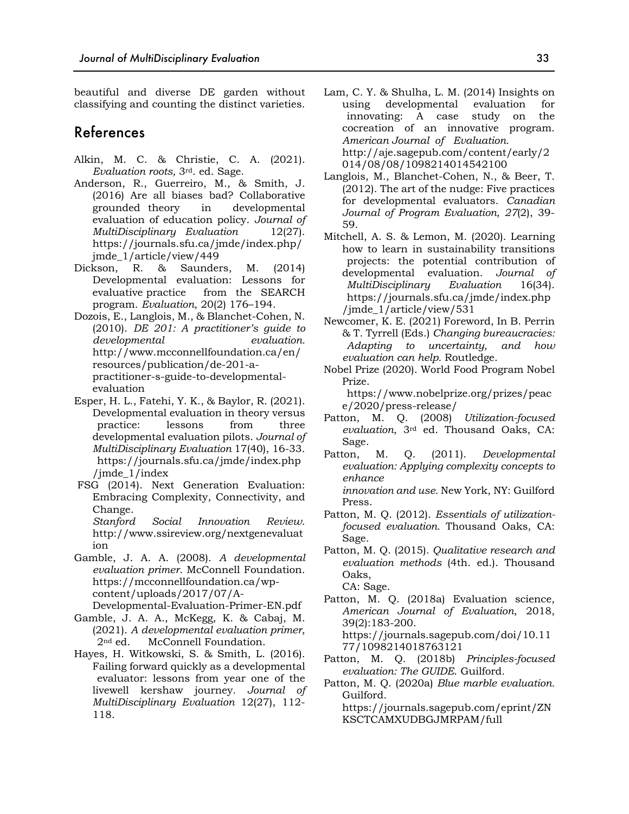beautiful and diverse DE garden without classifying and counting the distinct varieties.

#### References

- Alkin, M. C. & Christie, C. A. (2021). *Evaluation roots,* 3rd. ed. Sage.
- Anderson, R., Guerreiro, M., & Smith, J. (2016) Are all biases bad? Collaborative grounded theory in developmental evaluation of education policy. *Journal of MultiDisciplinary Evaluation* 12(27). https://journals.sfu.ca/jmde/index.php/ jmde\_1/article/view/449
- Dickson, R. & Saunders, M. (2014) Developmental evaluation: Lessons for evaluative practice from the SEARCH program. *Evaluation*, 20(2) 176–194.
- Dozois, E., Langlois, M., & Blanchet-Cohen, N. (2010). *DE 201: A practitioner's guide to developmental evaluation.* http://www.mcconnellfoundation.ca/en/ resources/publication/de-201-apractitioner-s-guide-to-developmentalevaluation
- Esper, H. L., Fatehi, Y. K., & Baylor, R. (2021). Developmental evaluation in theory versus practice: lessons from three developmental evaluation pilots. *Journal of MultiDisciplinary Evaluation* 17(40), 16-33. https://journals.sfu.ca/jmde/index.php /jmde\_1/index
- FSG (2014). Next Generation Evaluation: Embracing Complexity, Connectivity, and Change.
	- *Stanford Social Innovation Review*. http://www.ssireview.org/nextgenevaluat ion
- Gamble, J. A. A. (2008). *A developmental evaluation primer*. McConnell Foundation. https://mcconnellfoundation.ca/wpcontent/uploads/2017/07/A-
- Developmental-Evaluation-Primer-EN.pdf
- Gamble, J. A. A., McKegg, K. & Cabaj, M. (2021). *A developmental evaluation primer*, 2nd ed. McConnell Foundation.
- Hayes, H. Witkowski, S. & Smith, L. (2016). Failing forward quickly as a developmental evaluator: lessons from year one of the livewell kershaw journey*. Journal of MultiDisciplinary Evaluation* 12(27), 112- 118.
- Lam, C. Y. & Shulha, L. M. (2014) Insights on using developmental evaluation for innovating: A case study on the cocreation of an innovative program. *American Journal of Evaluation.*  http://aje.sagepub.com/content/early/2 014/08/08/1098214014542100
- Langlois, M., Blanchet-Cohen, N., & Beer, T. (2012). The art of the nudge: Five practices for developmental evaluators. *Canadian Journal of Program Evaluation, 27*(2), 39- 59.
- Mitchell, A. S. & Lemon, M. (2020). Learning how to learn in sustainability transitions projects: the potential contribution of developmental evaluation. *Journal of MultiDisciplinary Evaluation* 16(34). https://journals.sfu.ca/jmde/index.php /jmde\_1/article/view/531
- Newcomer, K. E. (2021) Foreword, In B. Perrin & T. Tyrrell (Eds.) *Changing bureaucracies: Adapting to uncertainty, and how evaluation can help.* Routledge.
- Nobel Prize (2020). World Food Program Nobel Prize.

https://www.nobelprize.org/prizes/peac e/2020/press-release/

- Patton, M. Q. (2008) *Utilization-focused evaluation*, 3rd ed. Thousand Oaks, CA: Sage.
- Patton, M. Q. (2011). *Developmental evaluation: Applying complexity concepts to enhance innovation and use.* New York, NY: Guilford Press.
- Patton, M. Q. (2012). *Essentials of utilizationfocused evaluation.* Thousand Oaks, CA: Sage.
- Patton, M. Q. (2015)*. Qualitative research and evaluation methods* (4th. ed.). Thousand Oaks, CA: Sage.
- Patton, M. Q. (2018a) Evaluation science, *American Journal of Evaluation*, 2018, 39(2):183-200. https://journals.sagepub.com/doi/10.11 77/1098214018763121
- Patton, M. Q. (2018b) *Principles-focused evaluation: The GUIDE*. Guilford.
- Patton, M. Q. (2020a) *Blue marble evaluation.* Guilford. https://journals.sagepub.com/eprint/ZN KSCTCAMXUDBGJMRPAM/full